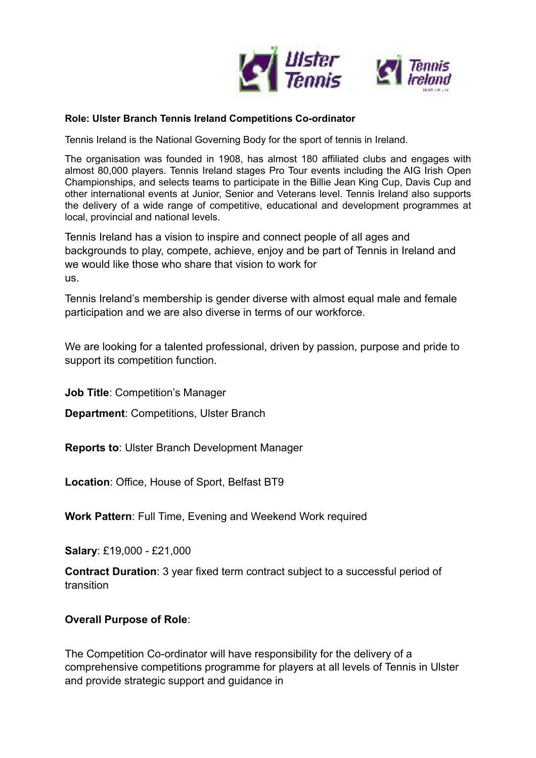

#### **Role: Ulster Branch Tennis Ireland Competitions Co-ordinator**

Tennis Ireland is the National Governing Body for the sport of tennis in Ireland.

The organisation was founded in 1908, has almost 180 affiliated clubs and engages with almost 80,000 players. Tennis Ireland stages Pro Tour events including the AIG Irish Open Championships, and selects teams to participate in the Billie Jean King Cup, Davis Cup and other international events at Junior, Senior and Veterans level. Tennis Ireland also supports the delivery of a wide range of competitive, educational and development programmes at local, provincial and national levels.

Tennis Ireland has a vision to inspire and connect people of all ages and backgrounds to play, compete, achieve, enjoy and be part of Tennis in Ireland and we would like those who share that vision to work for us.

Tennis Ireland's membership is gender diverse with almost equal male and female participation and we are also diverse in terms of our workforce.

We are looking for a talented professional, driven by passion, purpose and pride to support its competition function.

**Job Title: Competition's Manager** 

**Department**: Competitions, Ulster Branch

**Reports to**: Ulster Branch Development Manager

**Location**: Office, House of Sport, Belfast BT9

**Work Pattern**: Full Time, Evening and Weekend Work required

**Salary**: £19,000 - £21,000

**Contract Duration**: 3 year fixed term contract subject to a successful period of transition

## **Overall Purpose of Role**:

The Competition Co-ordinator will have responsibility for the delivery of a comprehensive competitions programme for players at all levels of Tennis in Ulster and provide strategic support and guidance in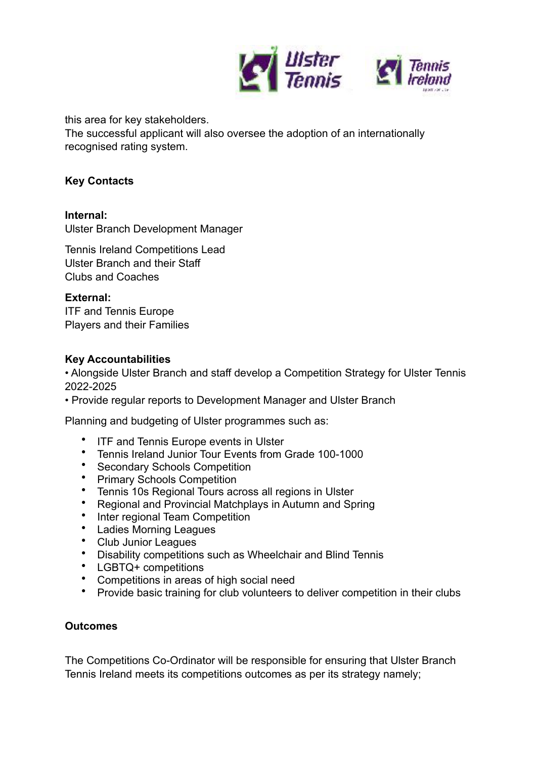

this area for key stakeholders.

The successful applicant will also oversee the adoption of an internationally recognised rating system.

# **Key Contacts**

**Internal:**

Ulster Branch Development Manager

Tennis Ireland Competitions Lead Ulster Branch and their Staff Clubs and Coaches

**External:**

ITF and Tennis Europe Players and their Families

# **Key Accountabilities**

• Alongside Ulster Branch and staff develop a Competition Strategy for Ulster Tennis 2022-2025

• Provide regular reports to Development Manager and Ulster Branch

Planning and budgeting of Ulster programmes such as:

- ITF and Tennis Europe events in Ulster
- Tennis Ireland Junior Tour Events from Grade 100-1000
- Secondary Schools Competition
- Primary Schools Competition
- Tennis 10s Regional Tours across all regions in Ulster
- Regional and Provincial Matchplays in Autumn and Spring
- Inter regional Team Competition
- Ladies Morning Leagues
- Club Junior Leagues
- Disability competitions such as Wheelchair and Blind Tennis
- LGBTQ+ competitions
- Competitions in areas of high social need
- Provide basic training for club volunteers to deliver competition in their clubs

## **Outcomes**

The Competitions Co-Ordinator will be responsible for ensuring that Ulster Branch Tennis Ireland meets its competitions outcomes as per its strategy namely;